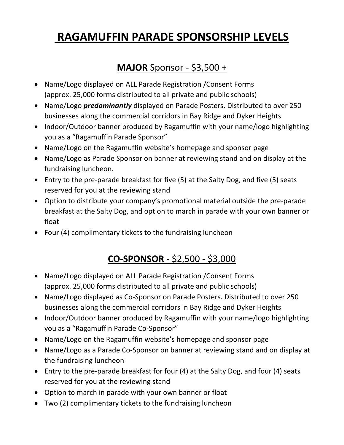# **RAGAMUFFIN PARADE SPONSORSHIP LEVELS**

#### **MAJOR** Sponsor - \$3,500 +

- Name/Logo displayed on ALL Parade Registration /Consent Forms (approx. 25,000 forms distributed to all private and public schools)
- Name/Logo *predominantly* displayed on Parade Posters. Distributed to over 250 businesses along the commercial corridors in Bay Ridge and Dyker Heights
- Indoor/Outdoor banner produced by Ragamuffin with your name/logo highlighting you as a "Ragamuffin Parade Sponsor"
- Name/Logo on the Ragamuffin website's homepage and sponsor page
- Name/Logo as Parade Sponsor on banner at reviewing stand and on display at the fundraising luncheon.
- Entry to the pre-parade breakfast for five (5) at the Salty Dog, and five (5) seats reserved for you at the reviewing stand
- Option to distribute your company's promotional material outside the pre-parade breakfast at the Salty Dog, and option to march in parade with your own banner or float
- Four (4) complimentary tickets to the fundraising luncheon

# **CO-SPONSOR** - \$2,500 - \$3,000

- Name/Logo displayed on ALL Parade Registration /Consent Forms (approx. 25,000 forms distributed to all private and public schools)
- Name/Logo displayed as Co-Sponsor on Parade Posters. Distributed to over 250 businesses along the commercial corridors in Bay Ridge and Dyker Heights
- Indoor/Outdoor banner produced by Ragamuffin with your name/logo highlighting you as a "Ragamuffin Parade Co-Sponsor"
- Name/Logo on the Ragamuffin website's homepage and sponsor page
- Name/Logo as a Parade Co-Sponsor on banner at reviewing stand and on display at the fundraising luncheon
- Entry to the pre-parade breakfast for four (4) at the Salty Dog, and four (4) seats reserved for you at the reviewing stand
- Option to march in parade with your own banner or float
- Two (2) complimentary tickets to the fundraising luncheon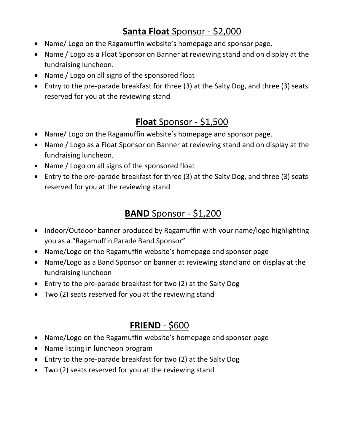#### **Santa Float** Sponsor - \$2,000

- Name/ Logo on the Ragamuffin website's homepage and sponsor page.
- Name / Logo as a Float Sponsor on Banner at reviewing stand and on display at the fundraising luncheon.
- Name / Logo on all signs of the sponsored float
- Entry to the pre-parade breakfast for three (3) at the Salty Dog, and three (3) seats reserved for you at the reviewing stand

#### **Float** Sponsor - \$1,500

- Name/ Logo on the Ragamuffin website's homepage and sponsor page.
- Name / Logo as a Float Sponsor on Banner at reviewing stand and on display at the fundraising luncheon.
- Name / Logo on all signs of the sponsored float
- Entry to the pre-parade breakfast for three (3) at the Salty Dog, and three (3) seats reserved for you at the reviewing stand

#### **BAND** Sponsor - \$1,200

- Indoor/Outdoor banner produced by Ragamuffin with your name/logo highlighting you as a "Ragamuffin Parade Band Sponsor"
- Name/Logo on the Ragamuffin website's homepage and sponsor page
- Name/Logo as a Band Sponsor on banner at reviewing stand and on display at the fundraising luncheon
- Entry to the pre-parade breakfast for two (2) at the Salty Dog
- Two (2) seats reserved for you at the reviewing stand

## **FRIEND** - \$600

- Name/Logo on the Ragamuffin website's homepage and sponsor page
- Name listing in luncheon program
- Entry to the pre-parade breakfast for two (2) at the Salty Dog
- Two (2) seats reserved for you at the reviewing stand